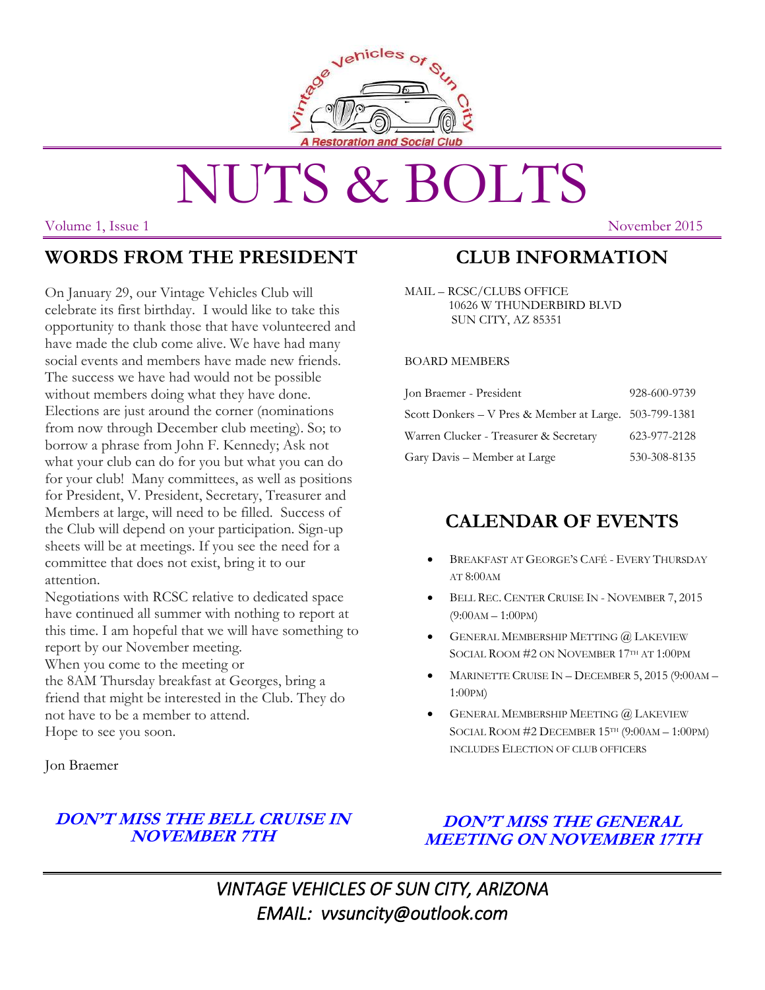

# NUTS & BOLTS

Volume 1, Issue 1 November 2015

#### **WORDS FROM THE PRESIDENT**

On January 29, our Vintage Vehicles Club will celebrate its first birthday. I would like to take this opportunity to thank those that have volunteered and have made the club come alive. We have had many social events and members have made new friends. The success we have had would not be possible without members doing what they have done. Elections are just around the corner (nominations from now through December club meeting). So; to borrow a phrase from John F. Kennedy; Ask not what your club can do for you but what you can do for your club! Many committees, as well as positions for President, V. President, Secretary, Treasurer and Members at large, will need to be filled. Success of the Club will depend on your participation. Sign-up sheets will be at meetings. If you see the need for a committee that does not exist, bring it to our attention.

Negotiations with RCSC relative to dedicated space have continued all summer with nothing to report at this time. I am hopeful that we will have something to report by our November meeting.

When you come to the meeting or

the 8AM Thursday breakfast at Georges, bring a friend that might be interested in the Club. They do not have to be a member to attend. Hope to see you soon.

Jon Braemer

#### **DON'T MISS THE BELL CRUISE IN NOVEMBER 7TH**

#### **DON'T MISS THE GENERAL MEETING ON NOVEMBER 17TH**

*VINTAGE VEHICLES OF SUN CITY, ARIZONA EMAIL: vvsuncity@outlook.com*

### **CLUB INFORMATION**

MAIL – RCSC/CLUBS OFFICE 10626 W THUNDERBIRD BLVD SUN CITY, AZ 85351

#### BOARD MEMBERS

| Jon Braemer - President                                | 928-600-9739 |
|--------------------------------------------------------|--------------|
| Scott Donkers - V Pres & Member at Large. 503-799-1381 |              |
| Warren Clucker - Treasurer & Secretary                 | 623-977-2128 |
| Gary Davis – Member at Large                           | 530-308-8135 |

#### **CALENDAR OF EVENTS**

- BREAKFAST AT GEORGE'S CAFÉ EVERY THURSDAY AT 8:00AM
- BELL REC. CENTER CRUISE IN NOVEMBER 7, 2015 (9:00AM – 1:00PM)
- GENERAL MEMBERSHIP METTING @ LAKEVIEW SOCIAL ROOM #2 ON NOVEMBER 17TH AT 1:00PM
- MARINETTE CRUISE IN DECEMBER 5, 2015 (9:00AM 1:00PM)
- GENERAL MEMBERSHIP MEETING @ LAKEVIEW SOCIAL ROOM #2 DECEMBER 15TH (9:00AM – 1:00PM) INCLUDES ELECTION OF CLUB OFFICERS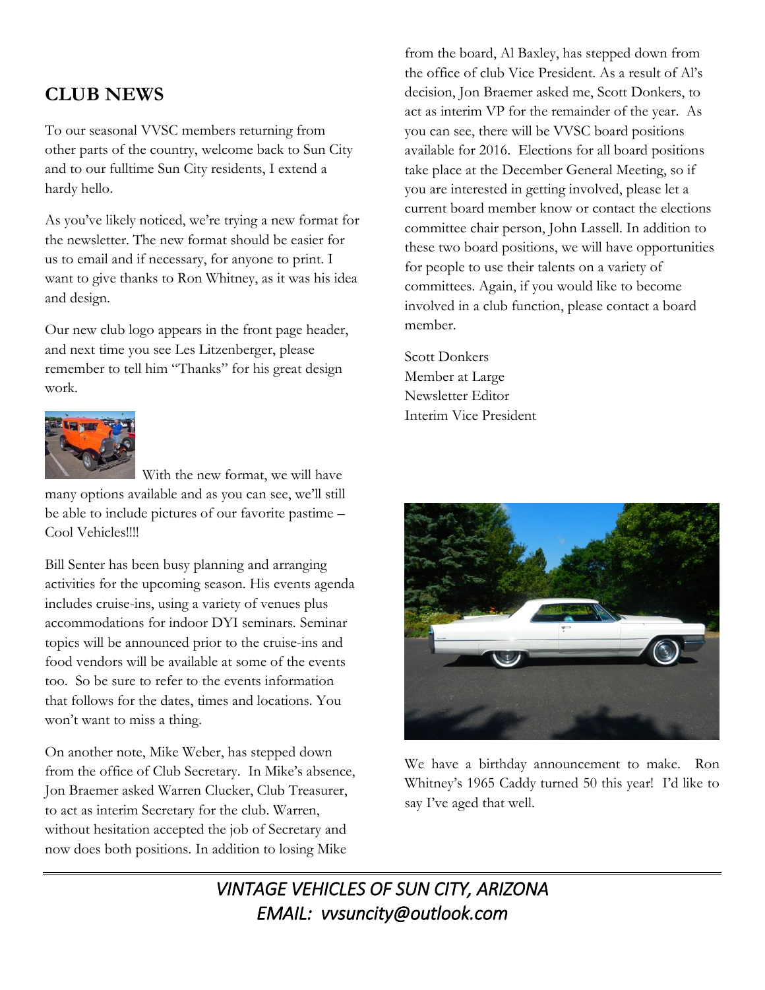## **CLUB NEWS**

To our seasonal VVSC members returning from other parts of the country, welcome back to Sun City and to our fulltime Sun City residents, I extend a hardy hello.

As you've likely noticed, we're trying a new format for the newsletter. The new format should be easier for us to email and if necessary, for anyone to print. I want to give thanks to Ron Whitney, as it was his idea and design.

Our new club logo appears in the front page header, and next time you see Les Litzenberger, please remember to tell him "Thanks" for his great design work.



 With the new format, we will have many options available and as you can see, we'll still be able to include pictures of our favorite pastime – Cool Vehicles!!!!

Bill Senter has been busy planning and arranging activities for the upcoming season. His events agenda includes cruise-ins, using a variety of venues plus accommodations for indoor DYI seminars. Seminar topics will be announced prior to the cruise-ins and food vendors will be available at some of the events too. So be sure to refer to the events information that follows for the dates, times and locations. You won't want to miss a thing.

On another note, Mike Weber, has stepped down from the office of Club Secretary. In Mike's absence, Jon Braemer asked Warren Clucker, Club Treasurer, to act as interim Secretary for the club. Warren, without hesitation accepted the job of Secretary and now does both positions. In addition to losing Mike

from the board, Al Baxley, has stepped down from the office of club Vice President. As a result of Al's decision, Jon Braemer asked me, Scott Donkers, to act as interim VP for the remainder of the year. As you can see, there will be VVSC board positions available for 2016. Elections for all board positions take place at the December General Meeting, so if you are interested in getting involved, please let a current board member know or contact the elections committee chair person, John Lassell. In addition to these two board positions, we will have opportunities for people to use their talents on a variety of committees. Again, if you would like to become involved in a club function, please contact a board member.

Scott Donkers Member at Large Newsletter Editor Interim Vice President



We have a birthday announcement to make. Ron Whitney's 1965 Caddy turned 50 this year! I'd like to say I've aged that well.

*VINTAGE VEHICLES OF SUN CITY, ARIZONA EMAIL: vvsuncity@outlook.com*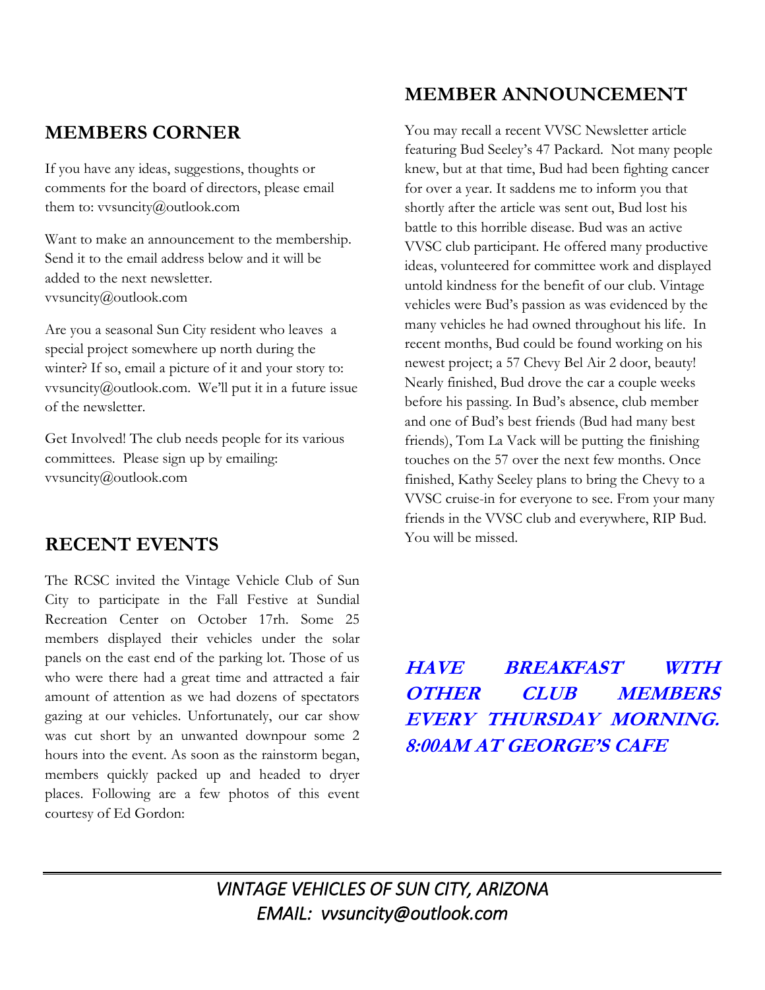#### **MEMBERS CORNER**

If you have any ideas, suggestions, thoughts or comments for the board of directors, please email them to: vvsuncity@outlook.com

Want to make an announcement to the membership. Send it to the email address below and it will be added to the next newsletter. vvsuncity@outlook.com

Are you a seasonal Sun City resident who leaves a special project somewhere up north during the winter? If so, email a picture of it and your story to: vvsuncity@outlook.com. We'll put it in a future issue of the newsletter.

Get Involved! The club needs people for its various committees. Please sign up by emailing: vvsuncity@outlook.com

#### **RECENT EVENTS**

The RCSC invited the Vintage Vehicle Club of Sun City to participate in the Fall Festive at Sundial Recreation Center on October 17rh. Some 25 members displayed their vehicles under the solar panels on the east end of the parking lot. Those of us who were there had a great time and attracted a fair amount of attention as we had dozens of spectators gazing at our vehicles. Unfortunately, our car show was cut short by an unwanted downpour some 2 hours into the event. As soon as the rainstorm began, members quickly packed up and headed to dryer places. Following are a few photos of this event courtesy of Ed Gordon:

#### **MEMBER ANNOUNCEMENT**

You may recall a recent VVSC Newsletter article featuring Bud Seeley's 47 Packard. Not many people knew, but at that time, Bud had been fighting cancer for over a year. It saddens me to inform you that shortly after the article was sent out, Bud lost his battle to this horrible disease. Bud was an active VVSC club participant. He offered many productive ideas, volunteered for committee work and displayed untold kindness for the benefit of our club. Vintage vehicles were Bud's passion as was evidenced by the many vehicles he had owned throughout his life. In recent months, Bud could be found working on his newest project; a 57 Chevy Bel Air 2 door, beauty! Nearly finished, Bud drove the car a couple weeks before his passing. In Bud's absence, club member and one of Bud's best friends (Bud had many best friends), Tom La Vack will be putting the finishing touches on the 57 over the next few months. Once finished, Kathy Seeley plans to bring the Chevy to a VVSC cruise-in for everyone to see. From your many friends in the VVSC club and everywhere, RIP Bud. You will be missed.

# **HAVE BREAKFAST WITH OTHER CLUB MEMBERS EVERY THURSDAY MORNING. 8:00AM AT GEORGE'S CAFE**

*VINTAGE VEHICLES OF SUN CITY, ARIZONA EMAIL: vvsuncity@outlook.com*